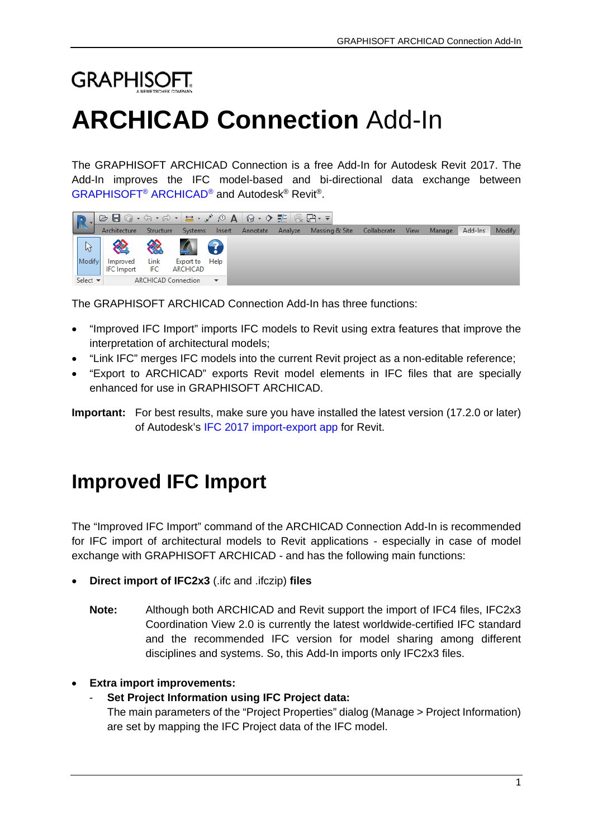# **GRAPHISOFT. ARCHICAD Connection** Add-In

The GRAPHISOFT ARCHICAD Connection is a free Add-In for Autodesk Revit 2017. The Add-In improves the IFC model-based and bi-directional data exchange between [GRAPHISOFT®](http://www.graphisoft.com/archicad/) ARCHICAD® and Autodesk® Revit®.

|                              | ├ <mark>⊝▣◎◦☆◦☆∽│〓・ぐ◎<mark>A│@◦◇</mark> ᡸ│<del>@ ;;</del>)</mark> |           |                               |                         |                                                        |  |  |        |
|------------------------------|-------------------------------------------------------------------|-----------|-------------------------------|-------------------------|--------------------------------------------------------|--|--|--------|
|                              | Architecture                                                      | Structure |                               | Systems Insert Annotate | Analyze Massing & Site Collaborate View Manage Add-Ins |  |  | Modify |
|                              | 《 《 4 9                                                           |           |                               |                         |                                                        |  |  |        |
| Modify                       | Improved<br><b>IFC</b> Import                                     |           | Export to Help                |                         |                                                        |  |  |        |
| Select $\blacktriangleright$ |                                                                   |           | ARCHICAD Connection $\bullet$ |                         |                                                        |  |  |        |

The GRAPHISOFT ARCHICAD Connection Add-In has three functions:

- "Improved IFC Import" imports IFC models to Revit using extra features that improve the interpretation of architectural models;
- "Link IFC" merges IFC models into the current Revit project as a non-editable reference;
- ["Export to ARCHICAD"](#page-2-0) exports Revit model elements in IFC files that are specially enhanced for use in GRAPHISOFT ARCHICAD.

**Important:** For best results, make sure you have installed the latest version (17.2.0 or later) of Autodesk's IFC 2017 [import-export app](https://sourceforge.net/projects/ifcexporter/files/2017/) for Revit.

# **Improved IFC Import**

The "Improved IFC Import" command of the ARCHICAD Connection Add-In is recommended for IFC import of architectural models to Revit applications - especially in case of model exchange with GRAPHISOFT ARCHICAD - and has the following main functions:

- **Direct import of IFC2x3** (.ifc and .ifczip) **files**
	- **Note:** Although both ARCHICAD and Revit support the import of IFC4 files, IFC2x3 Coordination View 2.0 is currently the latest worldwide-certified IFC standard and the recommended IFC version for model sharing among different disciplines and systems. So, this Add-In imports only IFC2x3 files.

# • **Extra import improvements:**

# - **Set Project Information using IFC Project data:**

The main parameters of the "Project Properties" dialog (Manage > Project Information) are set by mapping the IFC Project data of the IFC model.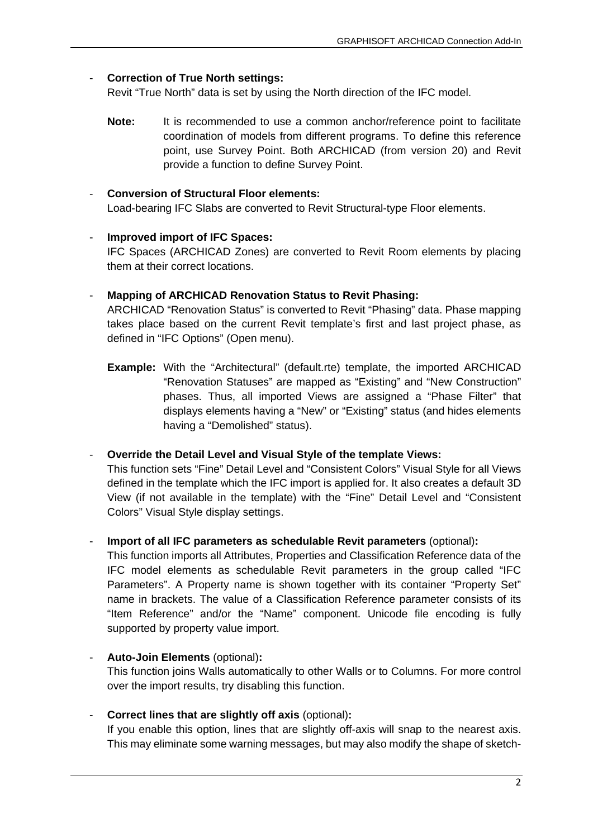#### - **Correction of True North settings:**

Revit "True North" data is set by using the North direction of the IFC model.

**Note:** It is recommended to use a common anchor/reference point to facilitate coordination of models from different programs. To define this reference point, use Survey Point. Both ARCHICAD (from version 20) and Revit provide a function to define Survey Point.

# - **Conversion of Structural Floor elements:**

Load-bearing IFC Slabs are converted to Revit Structural-type Floor elements.

- **Improved import of IFC Spaces:** IFC Spaces (ARCHICAD Zones) are converted to Revit Room elements by placing them at their correct locations.
- **Mapping of ARCHICAD Renovation Status to Revit Phasing:** ARCHICAD "Renovation Status" is converted to Revit "Phasing" data. Phase mapping takes place based on the current Revit template's first and last project phase, as defined in "IFC Options" (Open menu).
	- **Example:** With the "Architectural" (default.rte) template, the imported ARCHICAD "Renovation Statuses" are mapped as "Existing" and "New Construction" phases. Thus, all imported Views are assigned a "Phase Filter" that displays elements having a "New" or "Existing" status (and hides elements having a "Demolished" status).

- **Override the Detail Level and Visual Style of the template Views:** This function sets "Fine" Detail Level and "Consistent Colors" Visual Style for all Views defined in the template which the IFC import is applied for. It also creates a default 3D View (if not available in the template) with the "Fine" Detail Level and "Consistent Colors" Visual Style display settings.

- **Import of all IFC parameters as schedulable Revit parameters** (optional)**:**

This function imports all Attributes, Properties and Classification Reference data of the IFC model elements as schedulable Revit parameters in the group called "IFC Parameters". A Property name is shown together with its container "Property Set" name in brackets. The value of a Classification Reference parameter consists of its "Item Reference" and/or the "Name" component. Unicode file encoding is fully supported by property value import.

- **Auto-Join Elements** (optional)**:** This function joins Walls automatically to other Walls or to Columns. For more control over the import results, try disabling this function.
- **Correct lines that are slightly off axis** (optional)**:** If you enable this option, lines that are slightly off-axis will snap to the nearest axis. This may eliminate some warning messages, but may also modify the shape of sketch-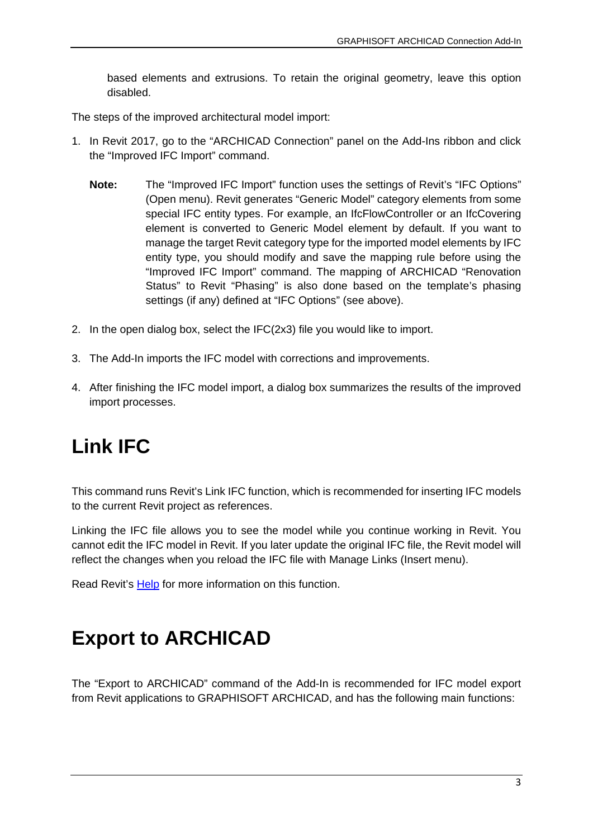based elements and extrusions. To retain the original geometry, leave this option disabled.

The steps of the improved architectural model import:

- 1. In Revit 2017, go to the "ARCHICAD Connection" panel on the Add-Ins ribbon and click the "Improved IFC Import" command.
	- **Note:** The "Improved IFC Import" function uses the settings of Revit's "IFC Options" (Open menu). Revit generates "Generic Model" category elements from some special IFC entity types. For example, an IfcFlowController or an IfcCovering element is converted to Generic Model element by default. If you want to manage the target Revit category type for the imported model elements by IFC entity type, you should modify and save the mapping rule before using the "Improved IFC Import" command. The mapping of ARCHICAD "Renovation Status" to Revit "Phasing" is also done based on the template's phasing settings (if any) defined at "IFC Options" (see above).
- 2. In the open dialog box, select the IFC(2x3) file you would like to import.
- 3. The Add-In imports the IFC model with corrections and improvements.
- 4. After finishing the IFC model import, a dialog box summarizes the results of the improved import processes.

# **Link IFC**

This command runs Revit's Link IFC function, which is recommended for inserting IFC models to the current Revit project as references.

Linking the IFC file allows you to see the model while you continue working in Revit. You cannot edit the IFC model in Revit. If you later update the original IFC file, the Revit model will reflect the changes when you reload the IFC file with Manage Links (Insert menu).

Read Revit's [Help](http://help.autodesk.com/view/RVT/2017/ENU/?guid=GUID-DE8B322A-A507-4E03-93EC-AA21F354E43B) for more information on this function.

# <span id="page-2-0"></span>**Export to ARCHICAD**

The "Export to ARCHICAD" command of the Add-In is recommended for IFC model export from Revit applications to GRAPHISOFT ARCHICAD, and has the following main functions: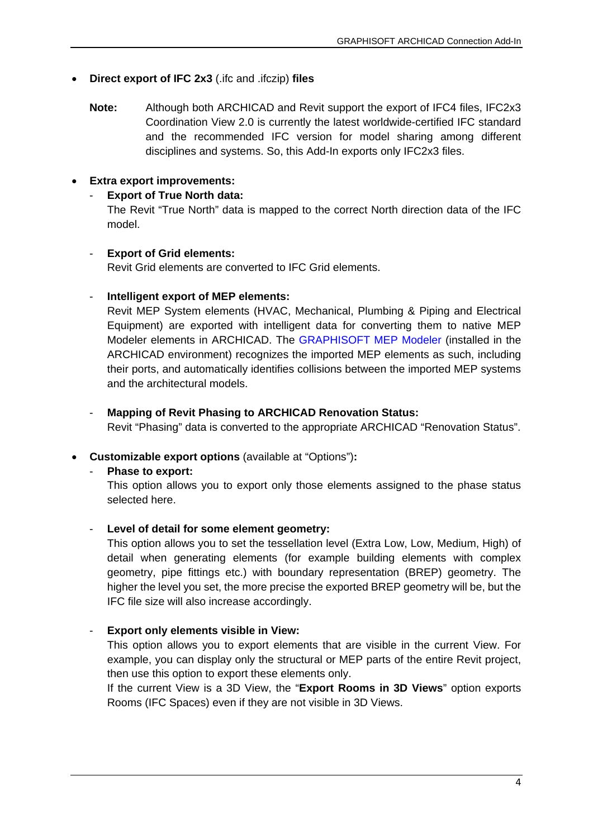# • **Direct export of IFC 2x3** (.ifc and .ifczip) **files**

**Note:** Although both ARCHICAD and Revit support the export of IFC4 files, IFC2x3 Coordination View 2.0 is currently the latest worldwide-certified IFC standard and the recommended IFC version for model sharing among different disciplines and systems. So, this Add-In exports only IFC2x3 files.

# • **Extra export improvements:**

# **Export of True North data:**

The Revit "True North" data is mapped to the correct North direction data of the IFC model.

#### - **Export of Grid elements:**

Revit Grid elements are converted to IFC Grid elements.

# - **Intelligent export of MEP elements:**

Revit MEP System elements (HVAC, Mechanical, Plumbing & Piping and Electrical Equipment) are exported with intelligent data for converting them to native MEP Modeler elements in ARCHICAD. The [GRAPHISOFT MEP Modeler](http://www.graphisoft.com/archicad/mep_modeler/) (installed in the ARCHICAD environment) recognizes the imported MEP elements as such, including their ports, and automatically identifies collisions between the imported MEP systems and the architectural models.

# - **Mapping of Revit Phasing to ARCHICAD Renovation Status:**

Revit "Phasing" data is converted to the appropriate ARCHICAD "Renovation Status".

# • **Customizable export options** (available at "Options")**:**

#### - **Phase to export:**

This option allows you to export only those elements assigned to the phase status selected here.

# - **Level of detail for some element geometry:**

This option allows you to set the tessellation level (Extra Low, Low, Medium, High) of detail when generating elements (for example building elements with complex geometry, pipe fittings etc.) with boundary representation (BREP) geometry. The higher the level you set, the more precise the exported BREP geometry will be, but the IFC file size will also increase accordingly.

# - **Export only elements visible in View:**

This option allows you to export elements that are visible in the current View. For example, you can display only the structural or MEP parts of the entire Revit project, then use this option to export these elements only.

If the current View is a 3D View, the "**Export Rooms in 3D Views**" option exports Rooms (IFC Spaces) even if they are not visible in 3D Views.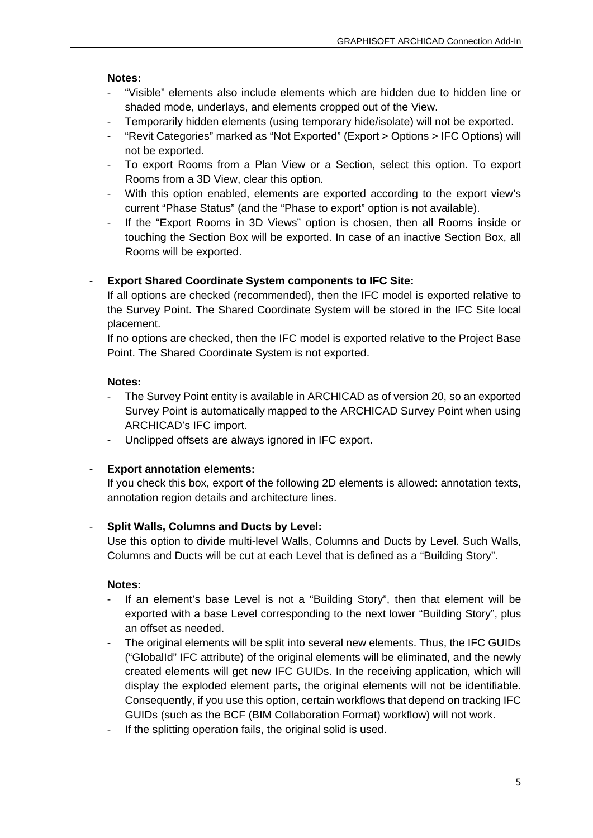#### **Notes:**

- "Visible" elements also include elements which are hidden due to hidden line or shaded mode, underlays, and elements cropped out of the View.
- Temporarily hidden elements (using temporary hide/isolate) will not be exported.
- "Revit Categories" marked as "Not Exported" (Export > Options > IFC Options) will not be exported.
- To export Rooms from a Plan View or a Section, select this option. To export Rooms from a 3D View, clear this option.
- With this option enabled, elements are exported according to the export view's current "Phase Status" (and the "Phase to export" option is not available).
- If the "Export Rooms in 3D Views" option is chosen, then all Rooms inside or touching the Section Box will be exported. In case of an inactive Section Box, all Rooms will be exported.

# - **Export Shared Coordinate System components to IFC Site:**

If all options are checked (recommended), then the IFC model is exported relative to the Survey Point. The Shared Coordinate System will be stored in the IFC Site local placement.

If no options are checked, then the IFC model is exported relative to the Project Base Point. The Shared Coordinate System is not exported.

# **Notes:**

- The Survey Point entity is available in ARCHICAD as of version 20, so an exported Survey Point is automatically mapped to the ARCHICAD Survey Point when using ARCHICAD's IFC import.
- Unclipped offsets are always ignored in IFC export.

# **Export annotation elements:**

If you check this box, export of the following 2D elements is allowed: annotation texts, annotation region details and architecture lines.

# - **Split Walls, Columns and Ducts by Level:**

Use this option to divide multi-level Walls, Columns and Ducts by Level. Such Walls, Columns and Ducts will be cut at each Level that is defined as a "Building Story".

#### **Notes:**

- If an element's base Level is not a "Building Story", then that element will be exported with a base Level corresponding to the next lower "Building Story", plus an offset as needed.
- The original elements will be split into several new elements. Thus, the IFC GUIDs ("GlobalId" IFC attribute) of the original elements will be eliminated, and the newly created elements will get new IFC GUIDs. In the receiving application, which will display the exploded element parts, the original elements will not be identifiable. Consequently, if you use this option, certain workflows that depend on tracking IFC GUIDs (such as the BCF (BIM Collaboration Format) workflow) will not work.
- If the splitting operation fails, the original solid is used.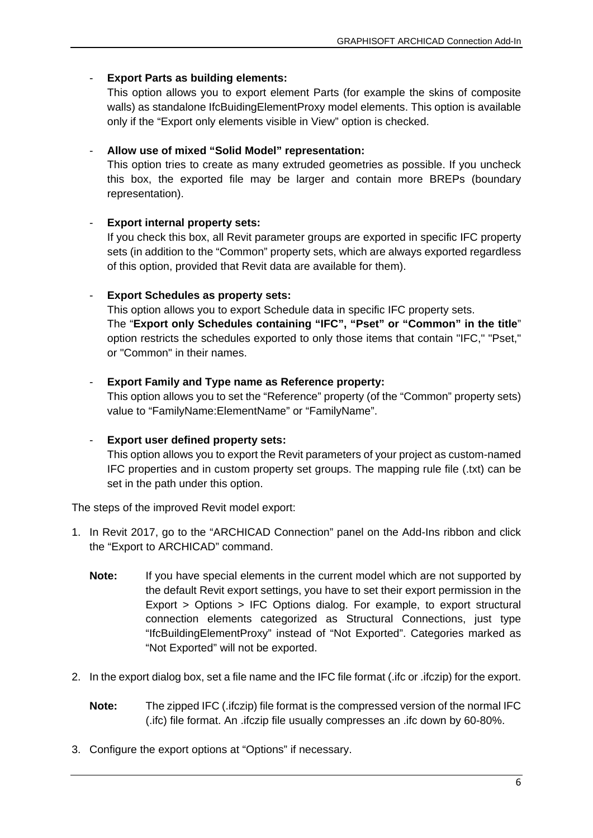# - **Export Parts as building elements:**

This option allows you to export element Parts (for example the skins of composite walls) as standalone IfcBuidingElementProxy model elements. This option is available only if the "Export only elements visible in View" option is checked.

# - **Allow use of mixed "Solid Model" representation:**

This option tries to create as many extruded geometries as possible. If you uncheck this box, the exported file may be larger and contain more BREPs (boundary representation).

# - **Export internal property sets:**

If you check this box, all Revit parameter groups are exported in specific IFC property sets (in addition to the "Common" property sets, which are always exported regardless of this option, provided that Revit data are available for them).

# - **Export Schedules as property sets:**

This option allows you to export Schedule data in specific IFC property sets. The "**Export only Schedules containing "IFC", "Pset" or "Common" in the title**" option restricts the schedules exported to only those items that contain "IFC," "Pset," or "Common" in their names.

# - **Export Family and Type name as Reference property:**

This option allows you to set the "Reference" property (of the "Common" property sets) value to "FamilyName:ElementName" or "FamilyName".

#### - **Export user defined property sets:**

This option allows you to export the Revit parameters of your project as custom-named IFC properties and in custom property set groups. The mapping rule file (.txt) can be set in the path under this option.

The steps of the improved Revit model export:

- 1. In Revit 2017, go to the "ARCHICAD Connection" panel on the Add-Ins ribbon and click the "Export to ARCHICAD" command.
	- **Note:** If you have special elements in the current model which are not supported by the default Revit export settings, you have to set their export permission in the Export > Options > IFC Options dialog. For example, to export structural connection elements categorized as Structural Connections, just type "IfcBuildingElementProxy" instead of "Not Exported". Categories marked as "Not Exported" will not be exported.
- 2. In the export dialog box, set a file name and the IFC file format (.ifc or .ifczip) for the export.
	- **Note:** The zipped IFC (.ifczip) file format is the compressed version of the normal IFC (.ifc) file format. An .ifczip file usually compresses an .ifc down by 60-80%.
- 3. Configure the export options at "Options" if necessary.